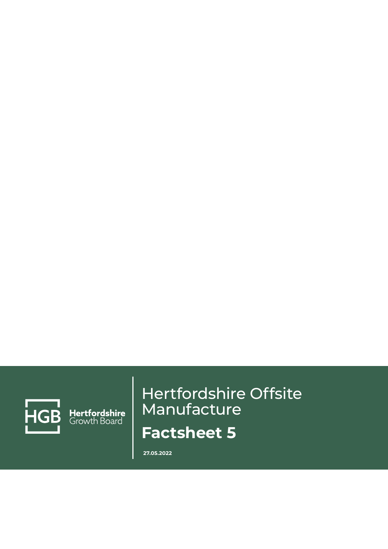

Hertfordshire<br>Growth Board

# Hertfordshire Offsite Manufacture **Factsheet 5**

**27.05.2022**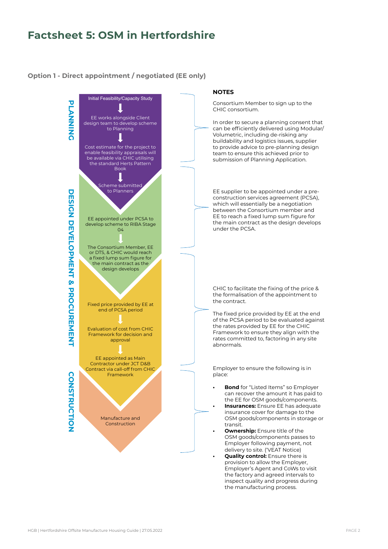## **Factsheet 5: OSM in Hertfordshire**

#### OPTION 1 - DIRECT APPOINTMENT/NEGOTIATED (EE ONLY) **Option 1 - Direct appointment / negotiated (EE only)**

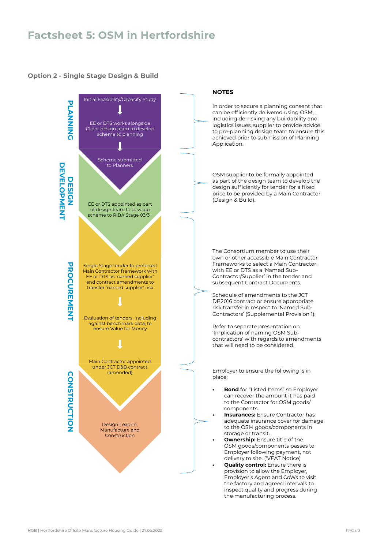## **Factsheet 5: OSM in Hertfordshire**

#### OPTION 2 - SINGLE STAGE DESIGN & BUILD **Option 2 - Single Stage Design & Build**